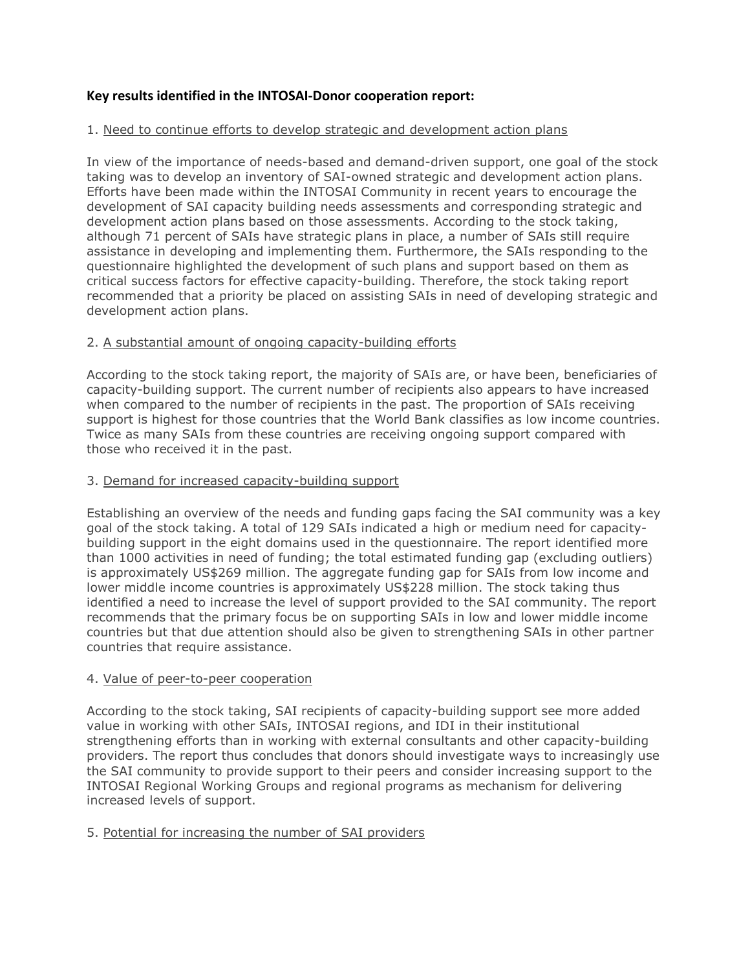# **Key results identified in the INTOSAI-Donor cooperation report:**

# 1. Need to continue efforts to develop strategic and development action plans

In view of the importance of needs-based and demand-driven support, one goal of the stock taking was to develop an inventory of SAI-owned strategic and development action plans. Efforts have been made within the INTOSAI Community in recent years to encourage the development of SAI capacity building needs assessments and corresponding strategic and development action plans based on those assessments. According to the stock taking, although 71 percent of SAIs have strategic plans in place, a number of SAIs still require assistance in developing and implementing them. Furthermore, the SAIs responding to the questionnaire highlighted the development of such plans and support based on them as critical success factors for effective capacity-building. Therefore, the stock taking report recommended that a priority be placed on assisting SAIs in need of developing strategic and development action plans.

# 2. A substantial amount of ongoing capacity-building efforts

According to the stock taking report, the majority of SAIs are, or have been, beneficiaries of capacity-building support. The current number of recipients also appears to have increased when compared to the number of recipients in the past. The proportion of SAIs receiving support is highest for those countries that the World Bank classifies as low income countries. Twice as many SAIs from these countries are receiving ongoing support compared with those who received it in the past.

## 3. Demand for increased capacity-building support

Establishing an overview of the needs and funding gaps facing the SAI community was a key goal of the stock taking. A total of 129 SAIs indicated a high or medium need for capacitybuilding support in the eight domains used in the questionnaire. The report identified more than 1000 activities in need of funding; the total estimated funding gap (excluding outliers) is approximately US\$269 million. The aggregate funding gap for SAIs from low income and lower middle income countries is approximately US\$228 million. The stock taking thus identified a need to increase the level of support provided to the SAI community. The report recommends that the primary focus be on supporting SAIs in low and lower middle income countries but that due attention should also be given to strengthening SAIs in other partner countries that require assistance.

#### 4. Value of peer-to-peer cooperation

According to the stock taking, SAI recipients of capacity-building support see more added value in working with other SAIs, INTOSAI regions, and IDI in their institutional strengthening efforts than in working with external consultants and other capacity-building providers. The report thus concludes that donors should investigate ways to increasingly use the SAI community to provide support to their peers and consider increasing support to the INTOSAI Regional Working Groups and regional programs as mechanism for delivering increased levels of support.

#### 5. Potential for increasing the number of SAI providers